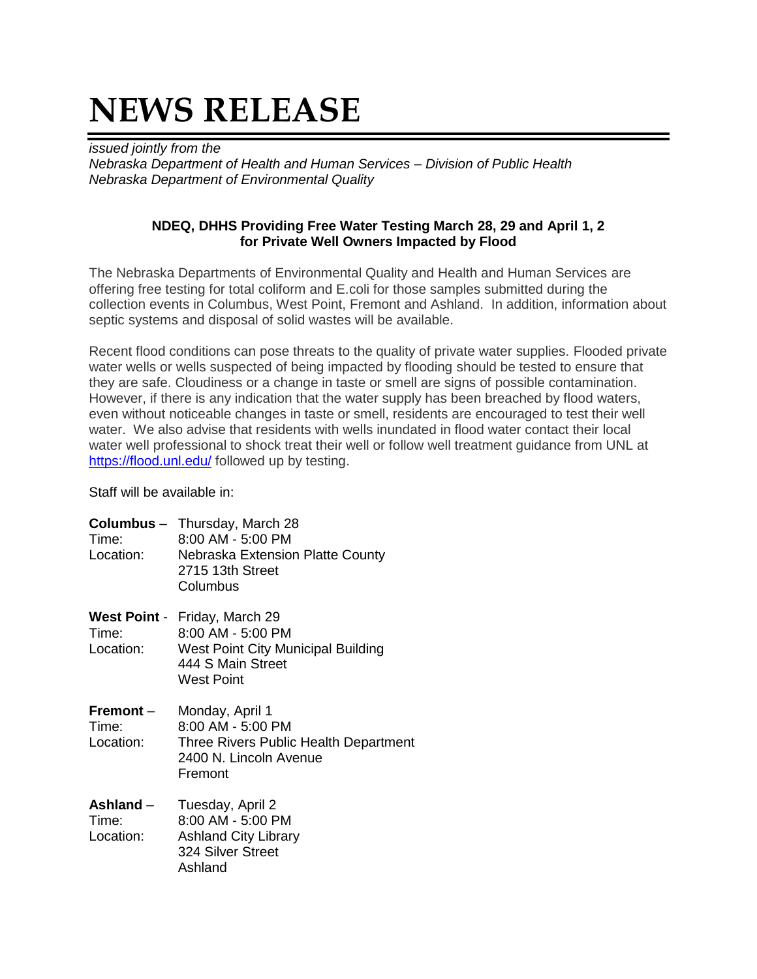## **NEWS RELEASE**

*issued jointly from the Nebraska Department of Health and Human Services – Division of Public Health Nebraska Department of Environmental Quality*

## **NDEQ, DHHS Providing Free Water Testing March 28, 29 and April 1, 2 for Private Well Owners Impacted by Flood**

The Nebraska Departments of Environmental Quality and Health and Human Services are offering free testing for total coliform and E.coli for those samples submitted during the collection events in Columbus, West Point, Fremont and Ashland. In addition, information about septic systems and disposal of solid wastes will be available.

Recent flood conditions can pose threats to the quality of private water supplies. Flooded private water wells or wells suspected of being impacted by flooding should be tested to ensure that they are safe. Cloudiness or a change in taste or smell are signs of possible contamination. However, if there is any indication that the water supply has been breached by flood waters, even without noticeable changes in taste or smell, residents are encouraged to test their well water. We also advise that residents with wells inundated in flood water contact their local water well professional to shock treat their well or follow well treatment guidance from UNL at <https://flood.unl.edu/> followed up by testing.

Staff will be available in:

| Time:<br>Location:                | <b>Columbus</b> – Thursday, March 28<br>8:00 AM - 5:00 PM<br>Nebraska Extension Platte County<br>2715 13th Street<br>Columbus               |
|-----------------------------------|---------------------------------------------------------------------------------------------------------------------------------------------|
| Time:<br>Location:                | <b>West Point - Friday, March 29</b><br>$8:00$ AM - 5:00 PM<br>West Point City Municipal Building<br>444 S Main Street<br><b>West Point</b> |
| Fremont -<br>Time:<br>Location:   | Monday, April 1<br>8:00 AM - 5:00 PM<br>Three Rivers Public Health Department<br>2400 N. Lincoln Avenue<br>Fremont                          |
| Ashland $-$<br>Time:<br>Location: | Tuesday, April 2<br>8:00 AM - 5:00 PM<br><b>Ashland City Library</b><br>324 Silver Street<br>Ashland                                        |